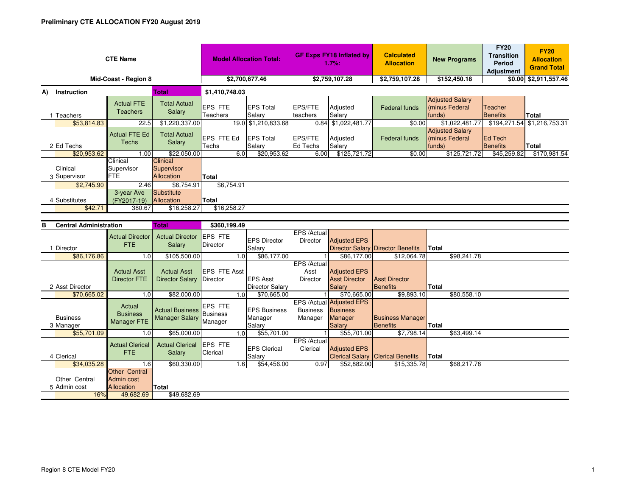| <b>CTE Name</b>                   |                          |                                      |                                                    | <b>Model Allocation Total:</b> |                            | <b>GF Exps FY18 Inflated by</b><br>1.7%: |                     | <b>Calculated</b><br><b>New Programs</b><br><b>Allocation</b> |                                                    | <b>FY20</b><br><b>Transition</b><br>Period<br>Adjustment | <b>FY20</b><br><b>Allocation</b><br><b>Grand Total</b> |
|-----------------------------------|--------------------------|--------------------------------------|----------------------------------------------------|--------------------------------|----------------------------|------------------------------------------|---------------------|---------------------------------------------------------------|----------------------------------------------------|----------------------------------------------------------|--------------------------------------------------------|
| Mid-Coast - Region 8              |                          |                                      |                                                    | \$2,700,677.46                 |                            | \$2,759,107.28                           |                     | \$2,759,107.28                                                | \$152,450.18                                       |                                                          | \$0.00 \$2,911,557.46                                  |
| <b>Total</b><br>Instruction<br>A) |                          |                                      | \$1,410,748.03                                     |                                |                            |                                          |                     |                                                               |                                                    |                                                          |                                                        |
|                                   | Teachers                 | <b>Actual FTE</b><br><b>Teachers</b> | <b>Total Actual</b><br>Salary                      | <b>EPS FTE</b><br>Teachers     | <b>EPS Total</b><br>Salary | <b>EPS/FTE</b><br>teachers               | Adjusted<br>Salary  | Federal funds                                                 | <b>Adjusted Salary</b><br>(minus Federal<br>funds) | Teacher<br>Benefits                                      | <b>Total</b>                                           |
|                                   | \$53,814.83              | 22.5                                 | \$1,220,337.00                                     |                                | 19.0 \$1,210,833.68        |                                          | 0.84 \$1,022,481.77 | \$0.00                                                        | \$1,022,481.77                                     | \$194,271.54                                             | \$1,216,753.31                                         |
| 2 Ed Techs                        |                          | <b>Actual FTE Ed</b><br>Techs        | <b>Total Actual</b><br>Salary                      | <b>EPS FTE Ed</b><br>Techs     | <b>EPS Total</b><br>Salary | <b>EPS/FTE</b><br><b>Ed Techs</b>        | Adjusted<br>Salary  | Federal funds                                                 | <b>Adjusted Salary</b><br>minus Federal<br>funds)  | <b>Ed Tech</b><br>Benefits                               | Total                                                  |
|                                   | \$20,953.62              | 1.00                                 | \$22,050.00                                        | 6.0                            | \$20,953.62                | 6.00                                     | \$125,721.72        | \$0.00                                                        | \$125,721.72                                       | \$45,259.82                                              | \$170,981.54                                           |
|                                   | Clinical<br>3 Supervisor | Clinical<br>Supervisor<br><b>FTE</b> | <b>Clinical</b><br>Supervisor<br><b>Allocation</b> | Total                          |                            |                                          |                     |                                                               |                                                    |                                                          |                                                        |
|                                   | \$2,745.90               | 2.46                                 | \$6,754.91                                         | \$6,754.91                     |                            |                                          |                     |                                                               |                                                    |                                                          |                                                        |
| 4 Substitutes<br>\$42.71          |                          | 3-year Ave<br>(FY2017-19)<br>380.67  | Substitute<br>Allocation<br>\$16,258.27            | <b>Total</b><br>\$16,258.27    |                            |                                          |                     |                                                               |                                                    |                                                          |                                                        |

| <b>Central Administration</b><br>в |                                           | <b>Total</b>                                         | \$360,199.49                |                                          |                                |                                                                                |                                            |              |             |
|------------------------------------|-------------------------------------------|------------------------------------------------------|-----------------------------|------------------------------------------|--------------------------------|--------------------------------------------------------------------------------|--------------------------------------------|--------------|-------------|
|                                    | <b>Actual Director</b><br>FTE.            | <b>Actual Director</b><br>Salary                     | <b>EPS FTE</b><br>Director  | <b>IEPS Director</b>                     | EPS /Actual<br><b>Director</b> | <b>Adjusted EPS</b>                                                            |                                            |              |             |
| Director                           |                                           |                                                      |                             | Salary                                   |                                |                                                                                | Director Salary Director Benefits          | Total        |             |
| \$86,176.86                        | 1.0                                       | \$105,500.00                                         |                             | \$86,177.00<br>1.0                       |                                | \$86,177.00                                                                    | \$12,064.78                                |              | \$98,241.78 |
|                                    | <b>Actual Asst</b>                        | <b>Actual Asst</b>                                   | <b>EPS FTE Asst</b>         |                                          | EPS /Actual<br>Asst            | <b>Adjusted EPS</b>                                                            |                                            |              |             |
|                                    | <b>Director FTE</b>                       | Director Salary                                      | Director                    | <b>EPS Asst</b>                          | <b>Director</b>                | <b>Asst Director</b>                                                           | Asst Director                              |              |             |
| 2 Asst Director                    |                                           |                                                      |                             | Director Salary                          |                                | <b>Salary</b>                                                                  | <b>Benefits</b>                            | Total        |             |
| \$70,665.02                        | 1.0                                       | \$82,000.00                                          |                             | \$70,665.00<br>1.0                       |                                | \$70,665.00                                                                    | \$9,893.10                                 |              | \$80,558.10 |
| <b>Business</b>                    | Actual<br><b>Business</b><br>Manager FTE  | Actual Business<br>Business<br><b>Manager Salary</b> | <b>EPS FTE</b><br>Manager   | <b>EPS Business</b><br>Manager<br>Salary | <b>Business</b><br>Manager     | EPS /Actual Adjusted EPS<br><b>Business</b><br><b>Manager</b><br><b>Salary</b> | <b>Business Manager</b><br><b>Benefits</b> | Total        |             |
| 3 Manager<br>\$55,701.09           | 1.0                                       | \$65,000.00                                          |                             | \$55,701.00<br>1.0                       |                                | \$55,701.00                                                                    | \$7,798.14                                 |              | \$63,499.14 |
| 4 Clerical                         | <b>Actual Clerical</b><br><b>FTE</b>      | <b>Actual Clerical</b><br>Salary                     | <b>IEPS FTE</b><br>Clerical | <b>EPS Clerical</b><br>Salary            | EPS /Actual<br>Clerical        | <b>Adjusted EPS</b>                                                            | <b>Clerical Salary Clerical Benefits</b>   | <b>Total</b> |             |
| \$34,035.28                        | 1.6                                       | \$60,330.00                                          |                             | \$54,456.00<br>1.6                       | 0.97                           | \$52,882.00                                                                    | \$15,335.78                                |              | \$68,217.78 |
| Other Central<br>5 Admin cost      | Other Central<br>Admin cost<br>Allocation | Total                                                |                             |                                          |                                |                                                                                |                                            |              |             |
| 16%                                | 49,682.69                                 | \$49,682.69                                          |                             |                                          |                                |                                                                                |                                            |              |             |